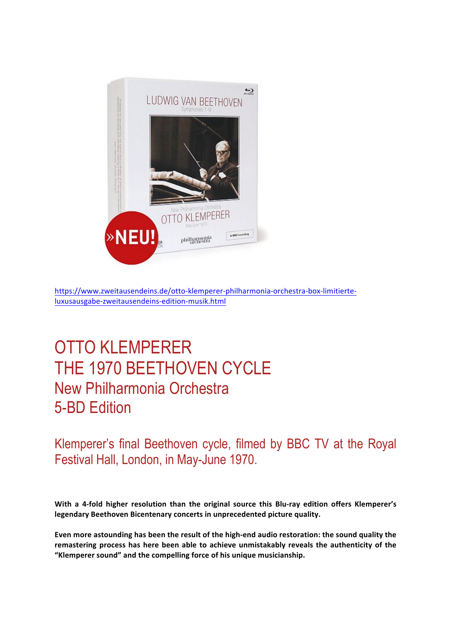

https://www.zweitausendeins.de/otto-klemperer-philharmonia-orchestra-box-limitierteluxusausgabe-zweitausendeins-edition-musik.html

## OTTO KLEMPERER THE 1970 BEETHOVEN CYCLE New Philharmonia Orchestra 5-BD Edition

Klemperer's final Beethoven cycle, filmed by BBC TV at the Royal Festival Hall, London, in May-June 1970.

With a 4-fold higher resolution than the original source this Blu-ray edition offers Klemperer's legendary Beethoven Bicentenary concerts in unprecedented picture quality.

Even more astounding has been the result of the high-end audio restoration: the sound quality the remastering process has here been able to achieve unmistakably reveals the authenticity of the "Klemperer sound" and the compelling force of his unique musicianship.